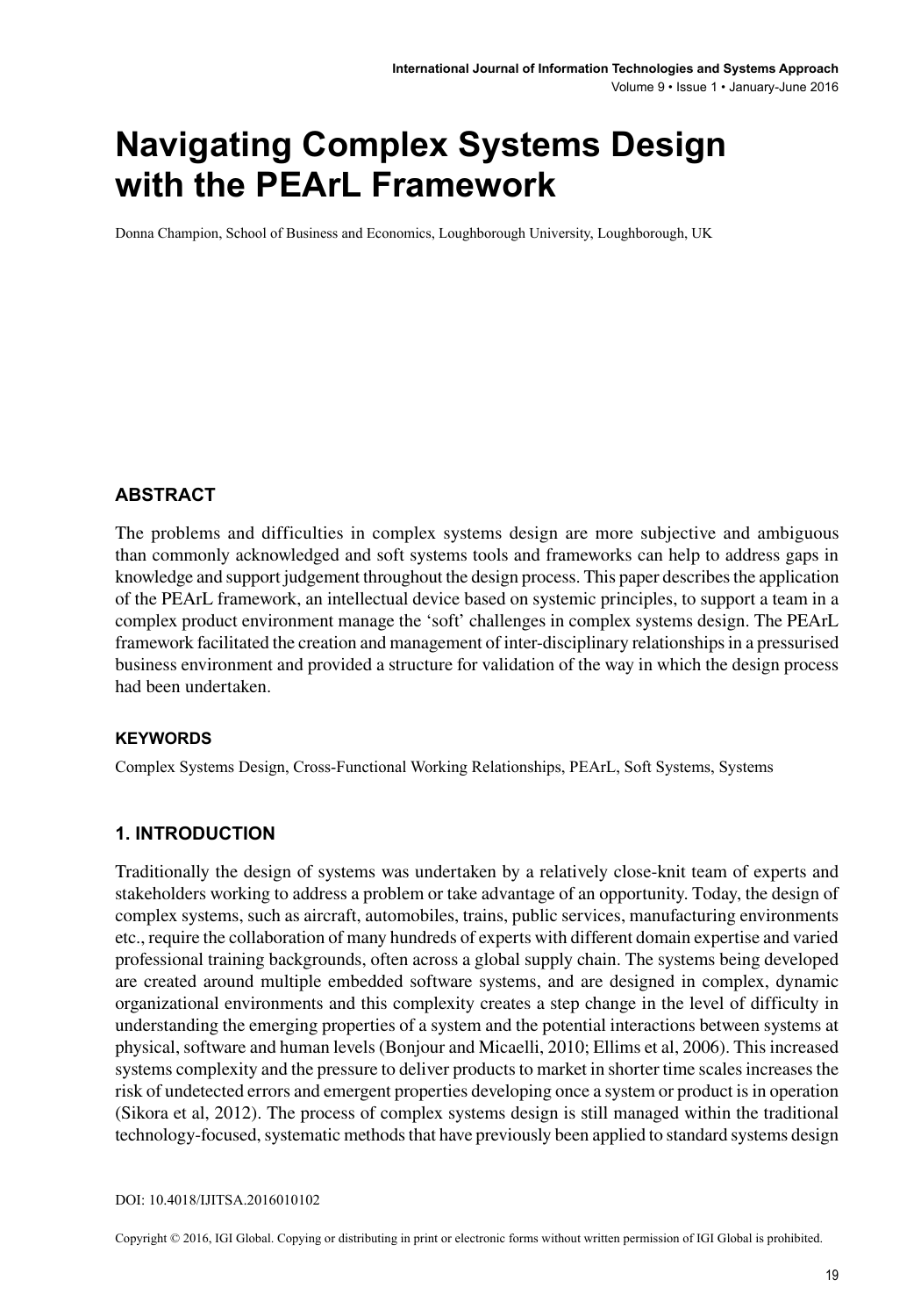# **Navigating Complex Systems Design with the PEArL Framework**

Donna Champion, School of Business and Economics, Loughborough University, Loughborough, UK

#### **ABSTRACT**

The problems and difficulties in complex systems design are more subjective and ambiguous than commonly acknowledged and soft systems tools and frameworks can help to address gaps in knowledge and support judgement throughout the design process. This paper describes the application of the PEArL framework, an intellectual device based on systemic principles, to support a team in a complex product environment manage the 'soft' challenges in complex systems design. The PEArL framework facilitated the creation and management of inter-disciplinary relationships in a pressurised business environment and provided a structure for validation of the way in which the design process had been undertaken.

#### **Keywords**

Complex Systems Design, Cross-Functional Working Relationships, PEArL, Soft Systems, Systems

#### **1. INTRODUCTION**

Traditionally the design of systems was undertaken by a relatively close-knit team of experts and stakeholders working to address a problem or take advantage of an opportunity. Today, the design of complex systems, such as aircraft, automobiles, trains, public services, manufacturing environments etc., require the collaboration of many hundreds of experts with different domain expertise and varied professional training backgrounds, often across a global supply chain. The systems being developed are created around multiple embedded software systems, and are designed in complex, dynamic organizational environments and this complexity creates a step change in the level of difficulty in understanding the emerging properties of a system and the potential interactions between systems at physical, software and human levels (Bonjour and Micaelli, 2010; Ellims et al, 2006). This increased systems complexity and the pressure to deliver products to market in shorter time scales increases the risk of undetected errors and emergent properties developing once a system or product is in operation (Sikora et al, 2012). The process of complex systems design is still managed within the traditional technology-focused, systematic methods that have previously been applied to standard systems design

Copyright © 2016, IGI Global. Copying or distributing in print or electronic forms without written permission of IGI Global is prohibited.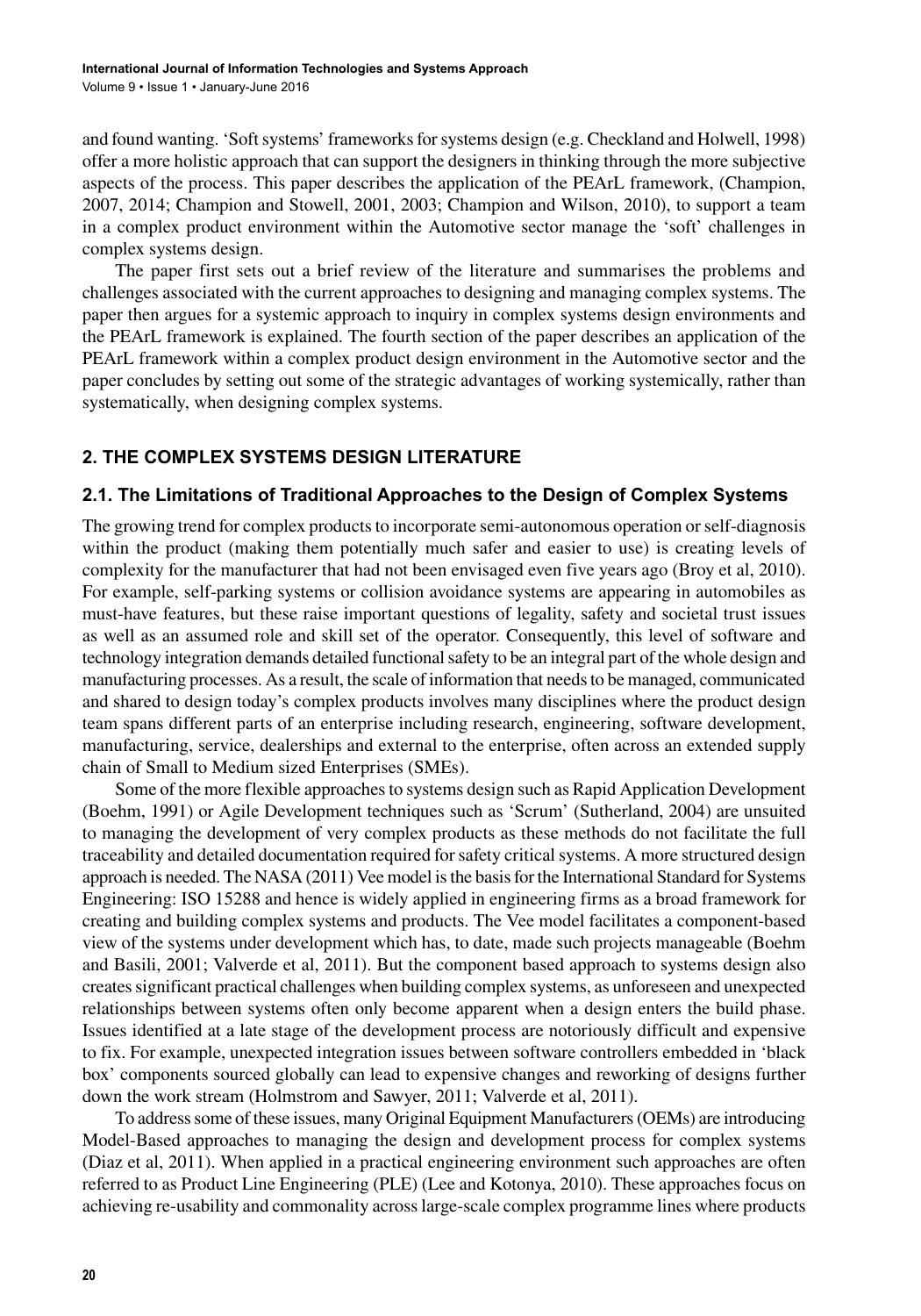and found wanting. 'Soft systems' frameworks for systems design (e.g. Checkland and Holwell, 1998) offer a more holistic approach that can support the designers in thinking through the more subjective aspects of the process. This paper describes the application of the PEArL framework, (Champion, 2007, 2014; Champion and Stowell, 2001, 2003; Champion and Wilson, 2010), to support a team in a complex product environment within the Automotive sector manage the 'soft' challenges in complex systems design.

The paper first sets out a brief review of the literature and summarises the problems and challenges associated with the current approaches to designing and managing complex systems. The paper then argues for a systemic approach to inquiry in complex systems design environments and the PEArL framework is explained. The fourth section of the paper describes an application of the PEArL framework within a complex product design environment in the Automotive sector and the paper concludes by setting out some of the strategic advantages of working systemically, rather than systematically, when designing complex systems.

# **2. THE COMPLEX SYSTEMS DESIGN LITERATURE**

## **2.1. The Limitations of Traditional Approaches to the Design of Complex Systems**

The growing trend for complex products to incorporate semi-autonomous operation or self-diagnosis within the product (making them potentially much safer and easier to use) is creating levels of complexity for the manufacturer that had not been envisaged even five years ago (Broy et al, 2010). For example, self-parking systems or collision avoidance systems are appearing in automobiles as must-have features, but these raise important questions of legality, safety and societal trust issues as well as an assumed role and skill set of the operator. Consequently, this level of software and technology integration demands detailed functional safety to be an integral part of the whole design and manufacturing processes. As a result, the scale of information that needs to be managed, communicated and shared to design today's complex products involves many disciplines where the product design team spans different parts of an enterprise including research, engineering, software development, manufacturing, service, dealerships and external to the enterprise, often across an extended supply chain of Small to Medium sized Enterprises (SMEs).

Some of the more flexible approaches to systems design such as Rapid Application Development (Boehm, 1991) or Agile Development techniques such as 'Scrum' (Sutherland, 2004) are unsuited to managing the development of very complex products as these methods do not facilitate the full traceability and detailed documentation required for safety critical systems. A more structured design approach is needed. The NASA (2011) Vee model is the basis for the International Standard for Systems Engineering: ISO 15288 and hence is widely applied in engineering firms as a broad framework for creating and building complex systems and products. The Vee model facilitates a component-based view of the systems under development which has, to date, made such projects manageable (Boehm and Basili, 2001; Valverde et al, 2011). But the component based approach to systems design also creates significant practical challenges when building complex systems, as unforeseen and unexpected relationships between systems often only become apparent when a design enters the build phase. Issues identified at a late stage of the development process are notoriously difficult and expensive to fix. For example, unexpected integration issues between software controllers embedded in 'black box' components sourced globally can lead to expensive changes and reworking of designs further down the work stream (Holmstrom and Sawyer, 2011; Valverde et al, 2011).

To address some of these issues, many Original Equipment Manufacturers (OEMs) are introducing Model-Based approaches to managing the design and development process for complex systems (Diaz et al, 2011). When applied in a practical engineering environment such approaches are often referred to as Product Line Engineering (PLE) (Lee and Kotonya, 2010). These approaches focus on achieving re-usability and commonality across large-scale complex programme lines where products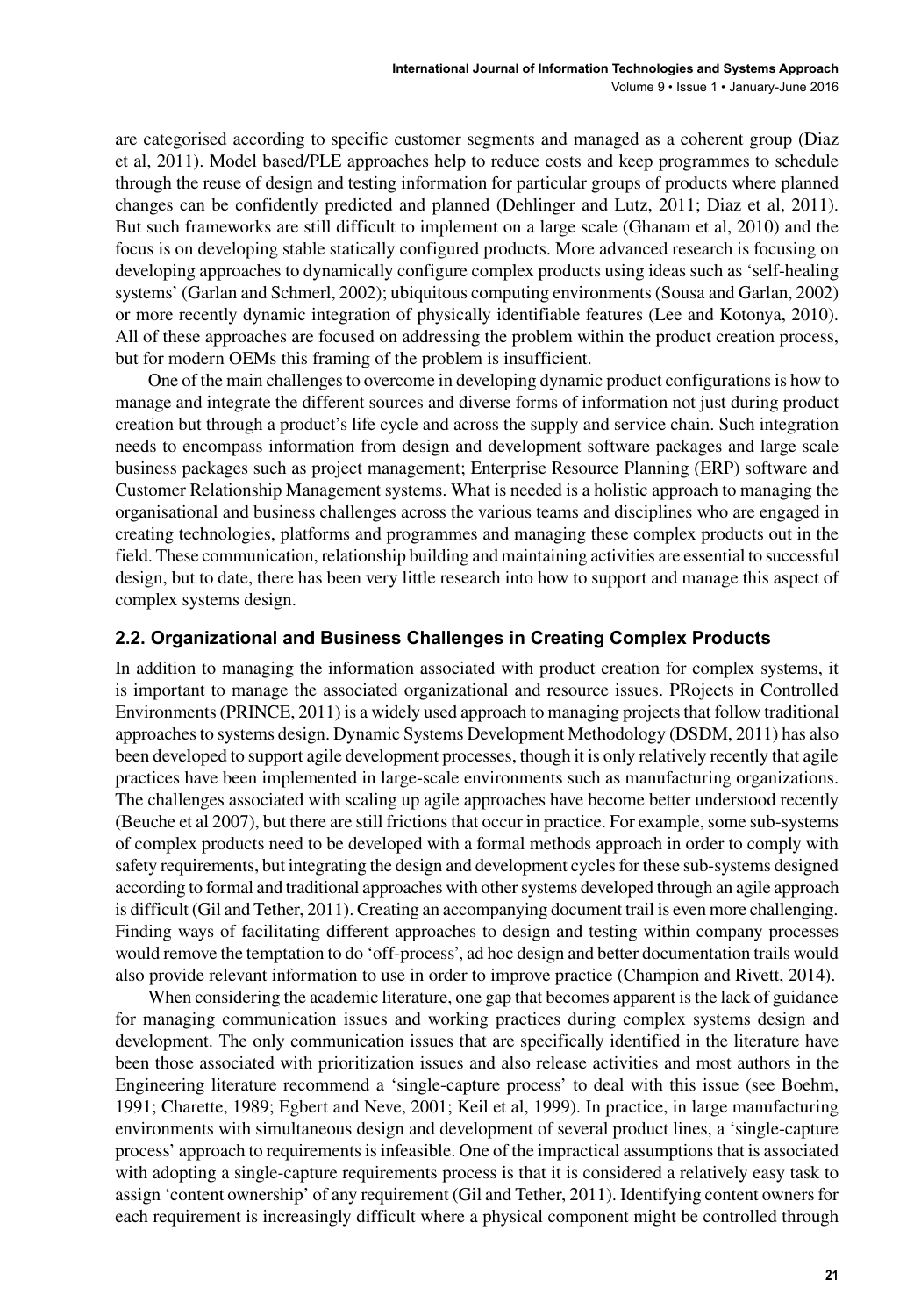are categorised according to specific customer segments and managed as a coherent group (Diaz et al, 2011). Model based/PLE approaches help to reduce costs and keep programmes to schedule through the reuse of design and testing information for particular groups of products where planned changes can be confidently predicted and planned (Dehlinger and Lutz, 2011; Diaz et al, 2011). But such frameworks are still difficult to implement on a large scale (Ghanam et al, 2010) and the focus is on developing stable statically configured products. More advanced research is focusing on developing approaches to dynamically configure complex products using ideas such as 'self-healing systems' (Garlan and Schmerl, 2002); ubiquitous computing environments (Sousa and Garlan, 2002) or more recently dynamic integration of physically identifiable features (Lee and Kotonya, 2010). All of these approaches are focused on addressing the problem within the product creation process, but for modern OEMs this framing of the problem is insufficient.

One of the main challenges to overcome in developing dynamic product configurations is how to manage and integrate the different sources and diverse forms of information not just during product creation but through a product's life cycle and across the supply and service chain. Such integration needs to encompass information from design and development software packages and large scale business packages such as project management; Enterprise Resource Planning (ERP) software and Customer Relationship Management systems. What is needed is a holistic approach to managing the organisational and business challenges across the various teams and disciplines who are engaged in creating technologies, platforms and programmes and managing these complex products out in the field. These communication, relationship building and maintaining activities are essential to successful design, but to date, there has been very little research into how to support and manage this aspect of complex systems design.

## **2.2. Organizational and Business Challenges in Creating Complex Products**

In addition to managing the information associated with product creation for complex systems, it is important to manage the associated organizational and resource issues. PRojects in Controlled Environments (PRINCE, 2011) is a widely used approach to managing projects that follow traditional approaches to systems design. Dynamic Systems Development Methodology (DSDM, 2011) has also been developed to support agile development processes, though it is only relatively recently that agile practices have been implemented in large-scale environments such as manufacturing organizations. The challenges associated with scaling up agile approaches have become better understood recently (Beuche et al 2007), but there are still frictions that occur in practice. For example, some sub-systems of complex products need to be developed with a formal methods approach in order to comply with safety requirements, but integrating the design and development cycles for these sub-systems designed according to formal and traditional approaches with other systems developed through an agile approach is difficult (Gil and Tether, 2011). Creating an accompanying document trail is even more challenging. Finding ways of facilitating different approaches to design and testing within company processes would remove the temptation to do 'off-process', ad hoc design and better documentation trails would also provide relevant information to use in order to improve practice (Champion and Rivett, 2014).

When considering the academic literature, one gap that becomes apparent is the lack of guidance for managing communication issues and working practices during complex systems design and development. The only communication issues that are specifically identified in the literature have been those associated with prioritization issues and also release activities and most authors in the Engineering literature recommend a 'single-capture process' to deal with this issue (see Boehm, 1991; Charette, 1989; Egbert and Neve, 2001; Keil et al, 1999). In practice, in large manufacturing environments with simultaneous design and development of several product lines, a 'single-capture process' approach to requirements is infeasible. One of the impractical assumptions that is associated with adopting a single-capture requirements process is that it is considered a relatively easy task to assign 'content ownership' of any requirement (Gil and Tether, 2011). Identifying content owners for each requirement is increasingly difficult where a physical component might be controlled through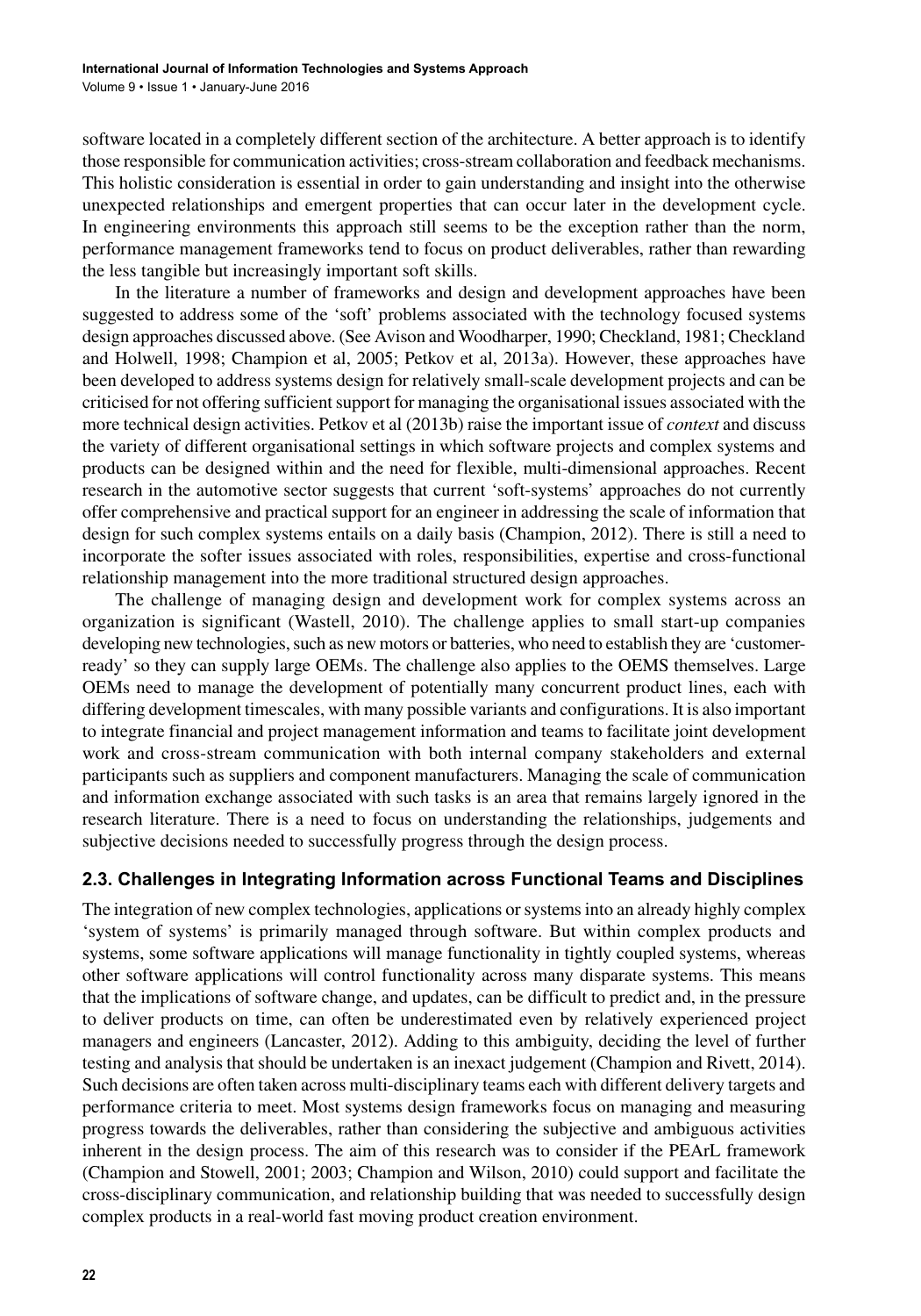software located in a completely different section of the architecture. A better approach is to identify those responsible for communication activities; cross-stream collaboration and feedback mechanisms. This holistic consideration is essential in order to gain understanding and insight into the otherwise unexpected relationships and emergent properties that can occur later in the development cycle. In engineering environments this approach still seems to be the exception rather than the norm, performance management frameworks tend to focus on product deliverables, rather than rewarding the less tangible but increasingly important soft skills.

In the literature a number of frameworks and design and development approaches have been suggested to address some of the 'soft' problems associated with the technology focused systems design approaches discussed above. (See Avison and Woodharper, 1990; Checkland, 1981; Checkland and Holwell, 1998; Champion et al, 2005; Petkov et al, 2013a). However, these approaches have been developed to address systems design for relatively small-scale development projects and can be criticised for not offering sufficient support for managing the organisational issues associated with the more technical design activities. Petkov et al (2013b) raise the important issue of *context* and discuss the variety of different organisational settings in which software projects and complex systems and products can be designed within and the need for flexible, multi-dimensional approaches. Recent research in the automotive sector suggests that current 'soft-systems' approaches do not currently offer comprehensive and practical support for an engineer in addressing the scale of information that design for such complex systems entails on a daily basis (Champion, 2012). There is still a need to incorporate the softer issues associated with roles, responsibilities, expertise and cross-functional relationship management into the more traditional structured design approaches.

The challenge of managing design and development work for complex systems across an organization is significant (Wastell, 2010). The challenge applies to small start-up companies developing new technologies, such as new motors or batteries, who need to establish they are 'customerready' so they can supply large OEMs. The challenge also applies to the OEMS themselves. Large OEMs need to manage the development of potentially many concurrent product lines, each with differing development timescales, with many possible variants and configurations. It is also important to integrate financial and project management information and teams to facilitate joint development work and cross-stream communication with both internal company stakeholders and external participants such as suppliers and component manufacturers. Managing the scale of communication and information exchange associated with such tasks is an area that remains largely ignored in the research literature. There is a need to focus on understanding the relationships, judgements and subjective decisions needed to successfully progress through the design process.

## **2.3. Challenges in Integrating Information across Functional Teams and Disciplines**

The integration of new complex technologies, applications or systems into an already highly complex 'system of systems' is primarily managed through software. But within complex products and systems, some software applications will manage functionality in tightly coupled systems, whereas other software applications will control functionality across many disparate systems. This means that the implications of software change, and updates, can be difficult to predict and, in the pressure to deliver products on time, can often be underestimated even by relatively experienced project managers and engineers (Lancaster, 2012). Adding to this ambiguity, deciding the level of further testing and analysis that should be undertaken is an inexact judgement (Champion and Rivett, 2014). Such decisions are often taken across multi-disciplinary teams each with different delivery targets and performance criteria to meet. Most systems design frameworks focus on managing and measuring progress towards the deliverables, rather than considering the subjective and ambiguous activities inherent in the design process. The aim of this research was to consider if the PEArL framework (Champion and Stowell, 2001; 2003; Champion and Wilson, 2010) could support and facilitate the cross-disciplinary communication, and relationship building that was needed to successfully design complex products in a real-world fast moving product creation environment.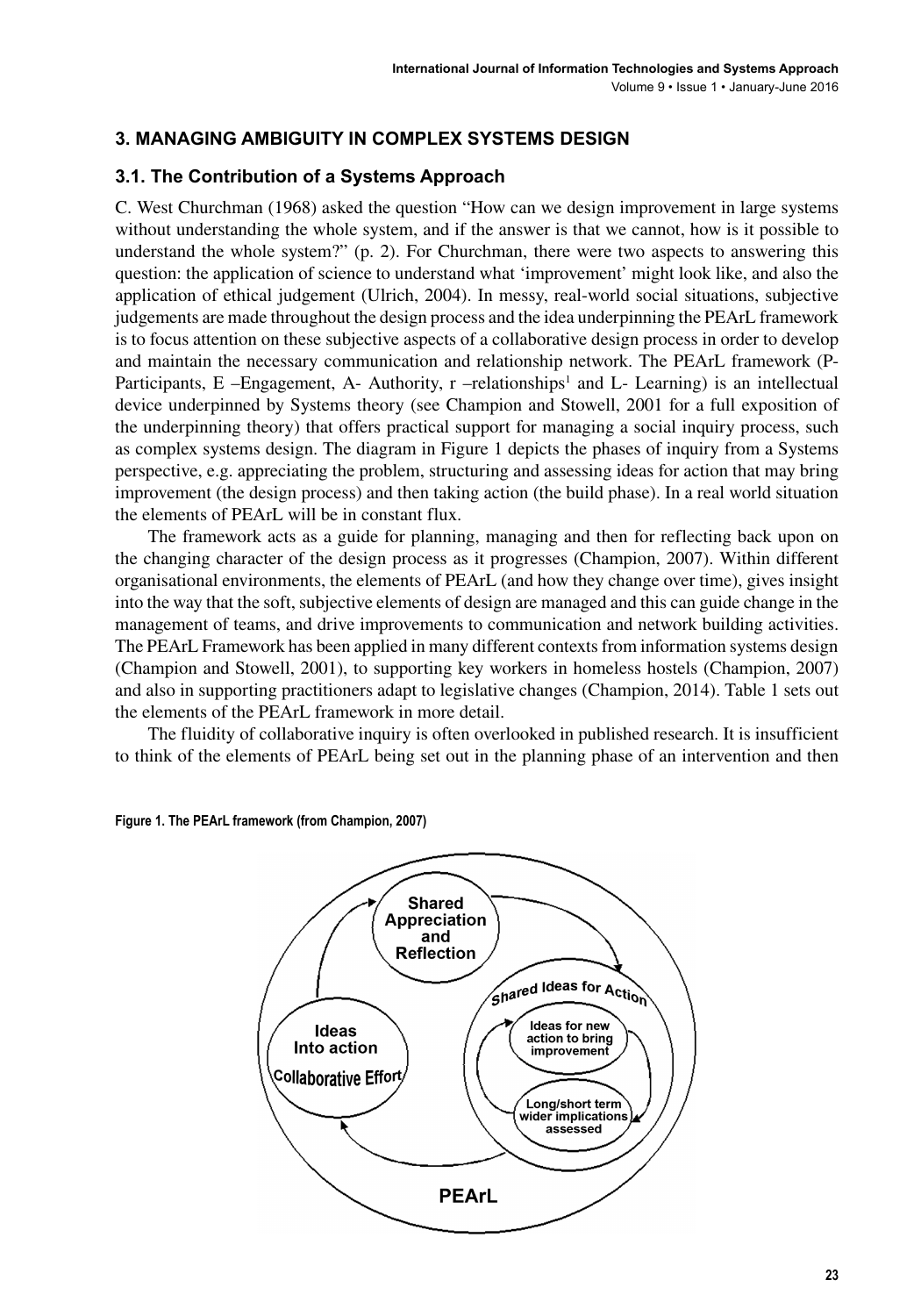# **3. MANAGING AMBIGUITY IN COMPLEX SYSTEMS DESIGN**

# **3.1. The Contribution of a Systems Approach**

C. West Churchman (1968) asked the question "How can we design improvement in large systems without understanding the whole system, and if the answer is that we cannot, how is it possible to understand the whole system?" (p. 2). For Churchman, there were two aspects to answering this question: the application of science to understand what 'improvement' might look like, and also the application of ethical judgement (Ulrich, 2004). In messy, real-world social situations, subjective judgements are made throughout the design process and the idea underpinning the PEArL framework is to focus attention on these subjective aspects of a collaborative design process in order to develop and maintain the necessary communication and relationship network. The PEArL framework (P-Participants, E -Engagement, A- Authority, r -relationships<sup>1</sup> and L- Learning) is an intellectual device underpinned by Systems theory (see Champion and Stowell, 2001 for a full exposition of the underpinning theory) that offers practical support for managing a social inquiry process, such as complex systems design. The diagram in Figure 1 depicts the phases of inquiry from a Systems perspective, e.g. appreciating the problem, structuring and assessing ideas for action that may bring improvement (the design process) and then taking action (the build phase). In a real world situation the elements of PEArL will be in constant flux.

The framework acts as a guide for planning, managing and then for reflecting back upon on the changing character of the design process as it progresses (Champion, 2007). Within different organisational environments, the elements of PEArL (and how they change over time), gives insight into the way that the soft, subjective elements of design are managed and this can guide change in the management of teams, and drive improvements to communication and network building activities. The PEArL Framework has been applied in many different contexts from information systems design (Champion and Stowell, 2001), to supporting key workers in homeless hostels (Champion, 2007) and also in supporting practitioners adapt to legislative changes (Champion, 2014). Table 1 sets out the elements of the PEArL framework in more detail.

The fluidity of collaborative inquiry is often overlooked in published research. It is insufficient to think of the elements of PEArL being set out in the planning phase of an intervention and then



**Figure 1. The PEArL framework (from Champion, 2007)**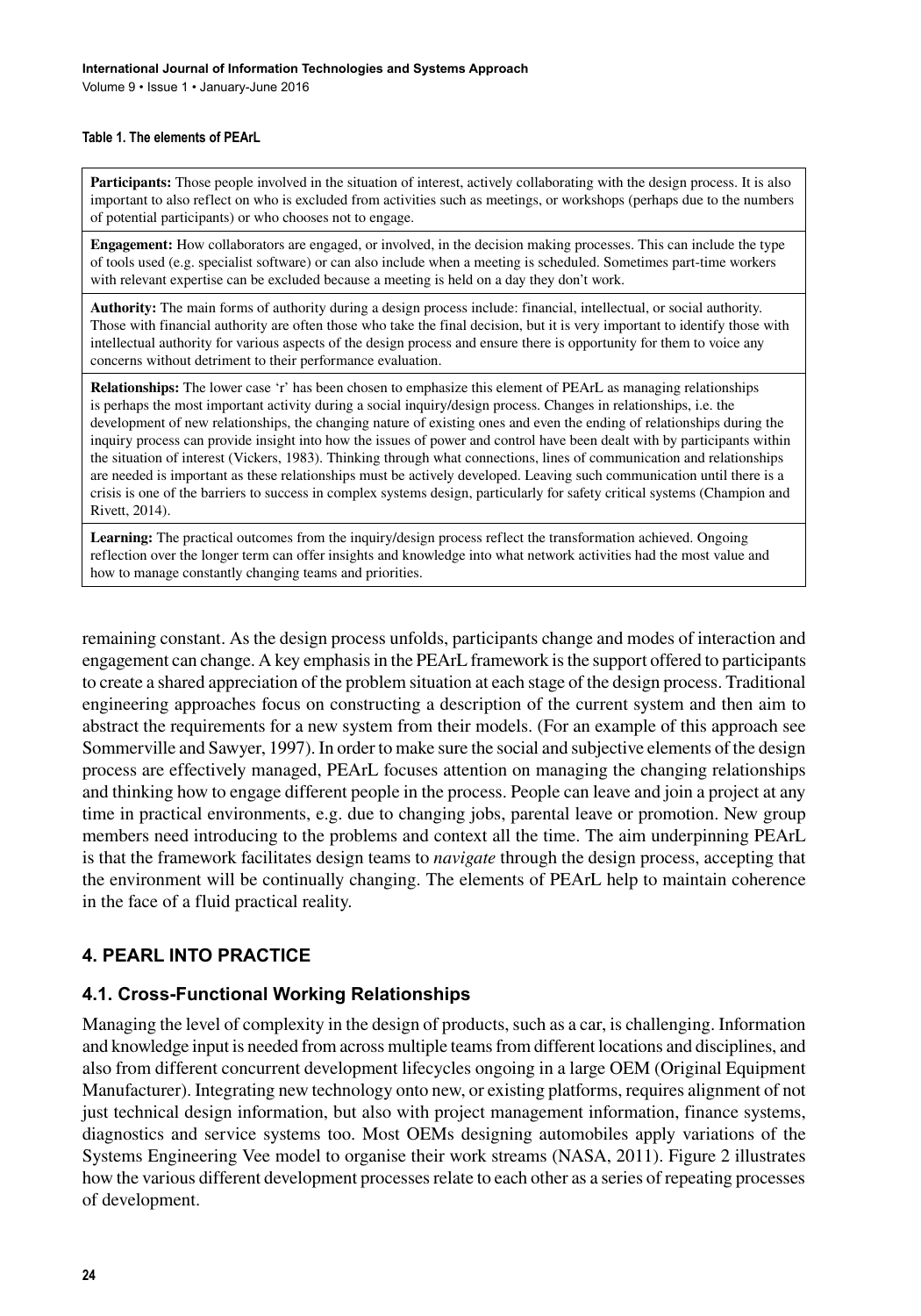Volume 9 • Issue 1 • January-June 2016

#### **Table 1. The elements of PEArL**

**Participants:** Those people involved in the situation of interest, actively collaborating with the design process. It is also important to also reflect on who is excluded from activities such as meetings, or workshops (perhaps due to the numbers of potential participants) or who chooses not to engage.

**Engagement:** How collaborators are engaged, or involved, in the decision making processes. This can include the type of tools used (e.g. specialist software) or can also include when a meeting is scheduled. Sometimes part-time workers with relevant expertise can be excluded because a meeting is held on a day they don't work.

**Authority:** The main forms of authority during a design process include: financial, intellectual, or social authority. Those with financial authority are often those who take the final decision, but it is very important to identify those with intellectual authority for various aspects of the design process and ensure there is opportunity for them to voice any concerns without detriment to their performance evaluation.

**Relationships:** The lower case 'r' has been chosen to emphasize this element of PEArL as managing relationships is perhaps the most important activity during a social inquiry/design process. Changes in relationships, i.e. the development of new relationships, the changing nature of existing ones and even the ending of relationships during the inquiry process can provide insight into how the issues of power and control have been dealt with by participants within the situation of interest (Vickers, 1983). Thinking through what connections, lines of communication and relationships are needed is important as these relationships must be actively developed. Leaving such communication until there is a crisis is one of the barriers to success in complex systems design, particularly for safety critical systems (Champion and Rivett, 2014).

**Learning:** The practical outcomes from the inquiry/design process reflect the transformation achieved. Ongoing reflection over the longer term can offer insights and knowledge into what network activities had the most value and how to manage constantly changing teams and priorities.

remaining constant. As the design process unfolds, participants change and modes of interaction and engagement can change. A key emphasis in the PEArL framework is the support offered to participants to create a shared appreciation of the problem situation at each stage of the design process. Traditional engineering approaches focus on constructing a description of the current system and then aim to abstract the requirements for a new system from their models. (For an example of this approach see Sommerville and Sawyer, 1997). In order to make sure the social and subjective elements of the design process are effectively managed, PEArL focuses attention on managing the changing relationships and thinking how to engage different people in the process. People can leave and join a project at any time in practical environments, e.g. due to changing jobs, parental leave or promotion. New group members need introducing to the problems and context all the time. The aim underpinning PEArL is that the framework facilitates design teams to *navigate* through the design process, accepting that the environment will be continually changing. The elements of PEArL help to maintain coherence in the face of a fluid practical reality.

# **4. PEARL INTO PRACTICE**

## **4.1. Cross-Functional Working Relationships**

Managing the level of complexity in the design of products, such as a car, is challenging. Information and knowledge input is needed from across multiple teams from different locations and disciplines, and also from different concurrent development lifecycles ongoing in a large OEM (Original Equipment Manufacturer). Integrating new technology onto new, or existing platforms, requires alignment of not just technical design information, but also with project management information, finance systems, diagnostics and service systems too. Most OEMs designing automobiles apply variations of the Systems Engineering Vee model to organise their work streams (NASA, 2011). Figure 2 illustrates how the various different development processes relate to each other as a series of repeating processes of development.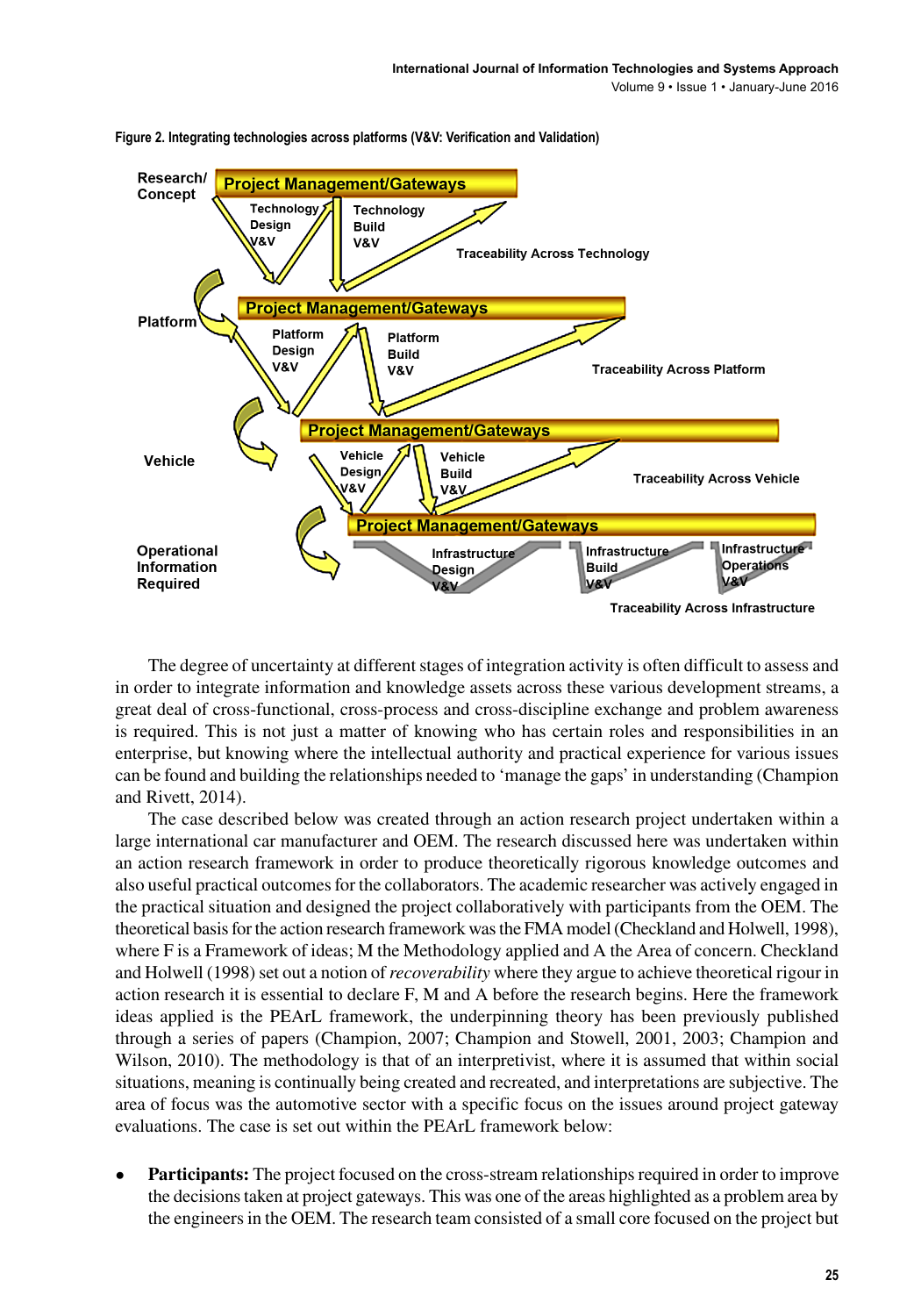

**Figure 2. Integrating technologies across platforms (V&V: Verification and Validation)**

The degree of uncertainty at different stages of integration activity is often difficult to assess and in order to integrate information and knowledge assets across these various development streams, a great deal of cross-functional, cross-process and cross-discipline exchange and problem awareness is required. This is not just a matter of knowing who has certain roles and responsibilities in an enterprise, but knowing where the intellectual authority and practical experience for various issues can be found and building the relationships needed to 'manage the gaps' in understanding (Champion and Rivett, 2014).

The case described below was created through an action research project undertaken within a large international car manufacturer and OEM. The research discussed here was undertaken within an action research framework in order to produce theoretically rigorous knowledge outcomes and also useful practical outcomes for the collaborators. The academic researcher was actively engaged in the practical situation and designed the project collaboratively with participants from the OEM. The theoretical basis for the action research framework was the FMA model (Checkland and Holwell, 1998), where F is a Framework of ideas; M the Methodology applied and A the Area of concern. Checkland and Holwell (1998) set out a notion of *recoverability* where they argue to achieve theoretical rigour in action research it is essential to declare F, M and A before the research begins. Here the framework ideas applied is the PEArL framework, the underpinning theory has been previously published through a series of papers (Champion, 2007; Champion and Stowell, 2001, 2003; Champion and Wilson, 2010). The methodology is that of an interpretivist, where it is assumed that within social situations, meaning is continually being created and recreated, and interpretations are subjective. The area of focus was the automotive sector with a specific focus on the issues around project gateway evaluations. The case is set out within the PEArL framework below:

• **Participants:** The project focused on the cross-stream relationships required in order to improve the decisions taken at project gateways. This was one of the areas highlighted as a problem area by the engineers in the OEM. The research team consisted of a small core focused on the project but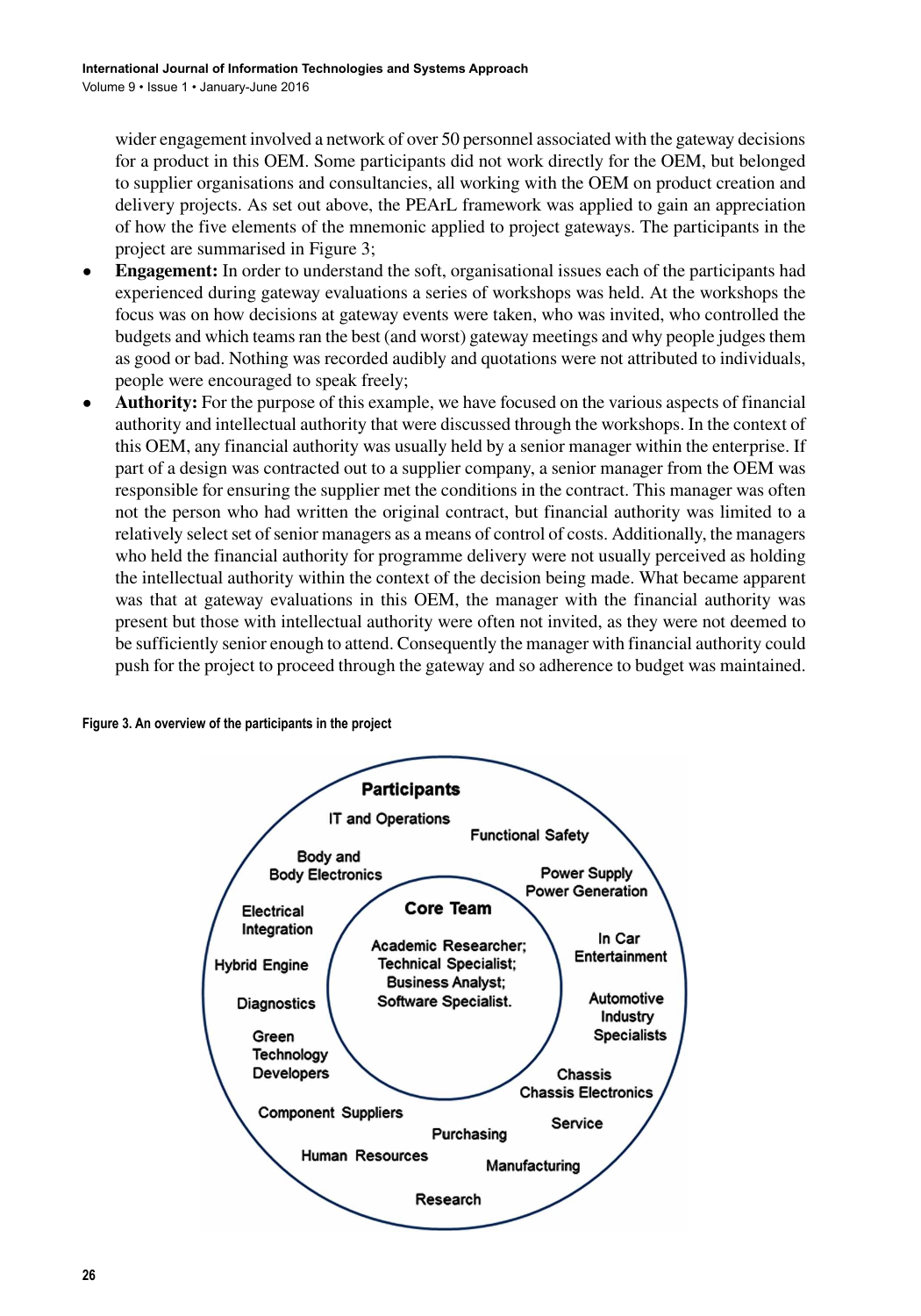wider engagement involved a network of over 50 personnel associated with the gateway decisions for a product in this OEM. Some participants did not work directly for the OEM, but belonged to supplier organisations and consultancies, all working with the OEM on product creation and delivery projects. As set out above, the PEArL framework was applied to gain an appreciation of how the five elements of the mnemonic applied to project gateways. The participants in the project are summarised in Figure 3;

- **Engagement:** In order to understand the soft, organisational issues each of the participants had experienced during gateway evaluations a series of workshops was held. At the workshops the focus was on how decisions at gateway events were taken, who was invited, who controlled the budgets and which teams ran the best (and worst) gateway meetings and why people judges them as good or bad. Nothing was recorded audibly and quotations were not attributed to individuals, people were encouraged to speak freely;
- **Authority:** For the purpose of this example, we have focused on the various aspects of financial authority and intellectual authority that were discussed through the workshops. In the context of this OEM, any financial authority was usually held by a senior manager within the enterprise. If part of a design was contracted out to a supplier company, a senior manager from the OEM was responsible for ensuring the supplier met the conditions in the contract. This manager was often not the person who had written the original contract, but financial authority was limited to a relatively select set of senior managers as a means of control of costs. Additionally, the managers who held the financial authority for programme delivery were not usually perceived as holding the intellectual authority within the context of the decision being made. What became apparent was that at gateway evaluations in this OEM, the manager with the financial authority was present but those with intellectual authority were often not invited, as they were not deemed to be sufficiently senior enough to attend. Consequently the manager with financial authority could push for the project to proceed through the gateway and so adherence to budget was maintained.

#### **Figure 3. An overview of the participants in the project**

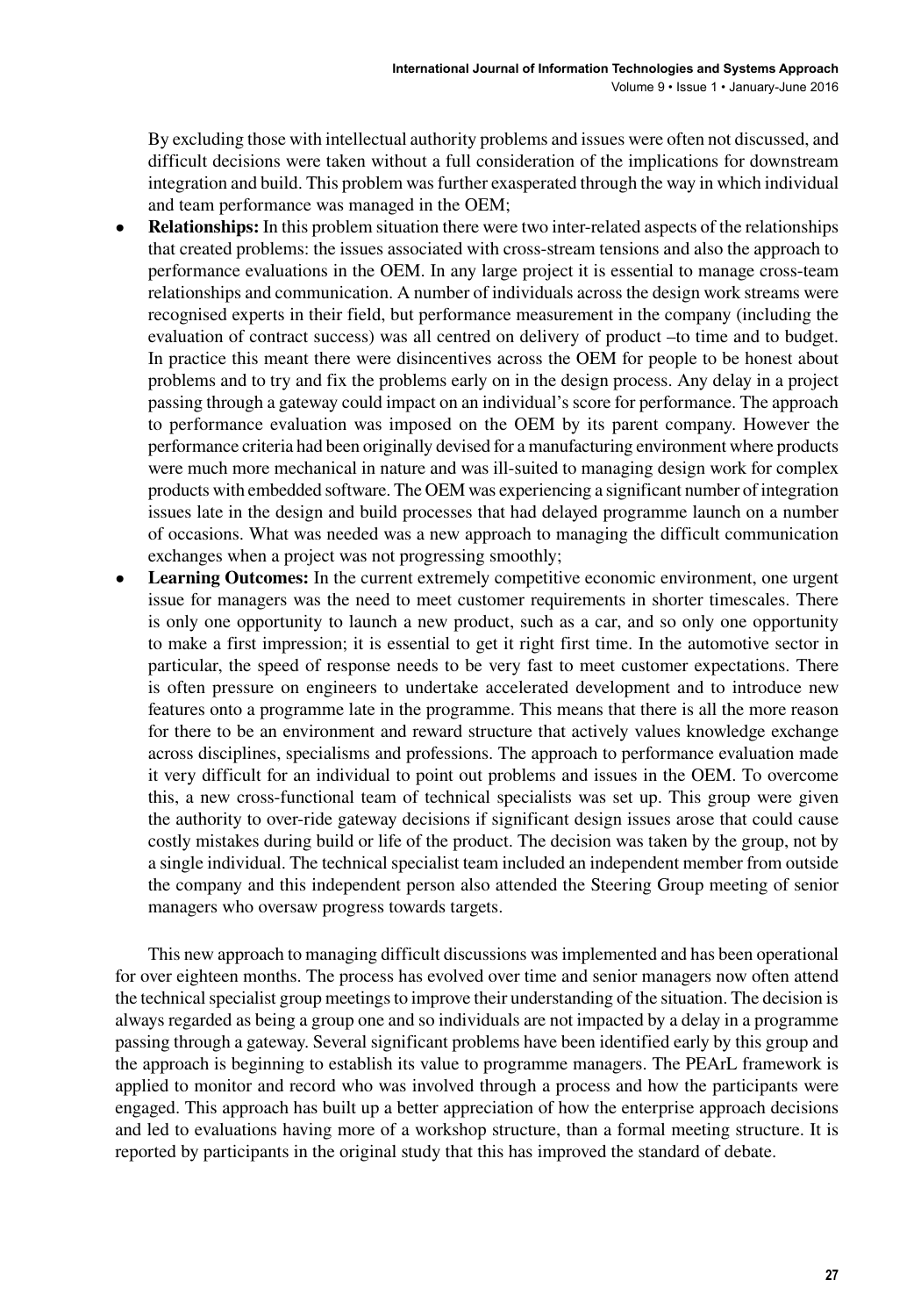By excluding those with intellectual authority problems and issues were often not discussed, and difficult decisions were taken without a full consideration of the implications for downstream integration and build. This problem was further exasperated through the way in which individual and team performance was managed in the OEM;

- **Relationships:** In this problem situation there were two inter-related aspects of the relationships that created problems: the issues associated with cross-stream tensions and also the approach to performance evaluations in the OEM. In any large project it is essential to manage cross-team relationships and communication. A number of individuals across the design work streams were recognised experts in their field, but performance measurement in the company (including the evaluation of contract success) was all centred on delivery of product –to time and to budget. In practice this meant there were disincentives across the OEM for people to be honest about problems and to try and fix the problems early on in the design process. Any delay in a project passing through a gateway could impact on an individual's score for performance. The approach to performance evaluation was imposed on the OEM by its parent company. However the performance criteria had been originally devised for a manufacturing environment where products were much more mechanical in nature and was ill-suited to managing design work for complex products with embedded software. The OEM was experiencing a significant number of integration issues late in the design and build processes that had delayed programme launch on a number of occasions. What was needed was a new approach to managing the difficult communication exchanges when a project was not progressing smoothly;
- **Learning Outcomes:** In the current extremely competitive economic environment, one urgent issue for managers was the need to meet customer requirements in shorter timescales. There is only one opportunity to launch a new product, such as a car, and so only one opportunity to make a first impression; it is essential to get it right first time. In the automotive sector in particular, the speed of response needs to be very fast to meet customer expectations. There is often pressure on engineers to undertake accelerated development and to introduce new features onto a programme late in the programme. This means that there is all the more reason for there to be an environment and reward structure that actively values knowledge exchange across disciplines, specialisms and professions. The approach to performance evaluation made it very difficult for an individual to point out problems and issues in the OEM. To overcome this, a new cross-functional team of technical specialists was set up. This group were given the authority to over-ride gateway decisions if significant design issues arose that could cause costly mistakes during build or life of the product. The decision was taken by the group, not by a single individual. The technical specialist team included an independent member from outside the company and this independent person also attended the Steering Group meeting of senior managers who oversaw progress towards targets.

This new approach to managing difficult discussions was implemented and has been operational for over eighteen months. The process has evolved over time and senior managers now often attend the technical specialist group meetings to improve their understanding of the situation. The decision is always regarded as being a group one and so individuals are not impacted by a delay in a programme passing through a gateway. Several significant problems have been identified early by this group and the approach is beginning to establish its value to programme managers. The PEArL framework is applied to monitor and record who was involved through a process and how the participants were engaged. This approach has built up a better appreciation of how the enterprise approach decisions and led to evaluations having more of a workshop structure, than a formal meeting structure. It is reported by participants in the original study that this has improved the standard of debate.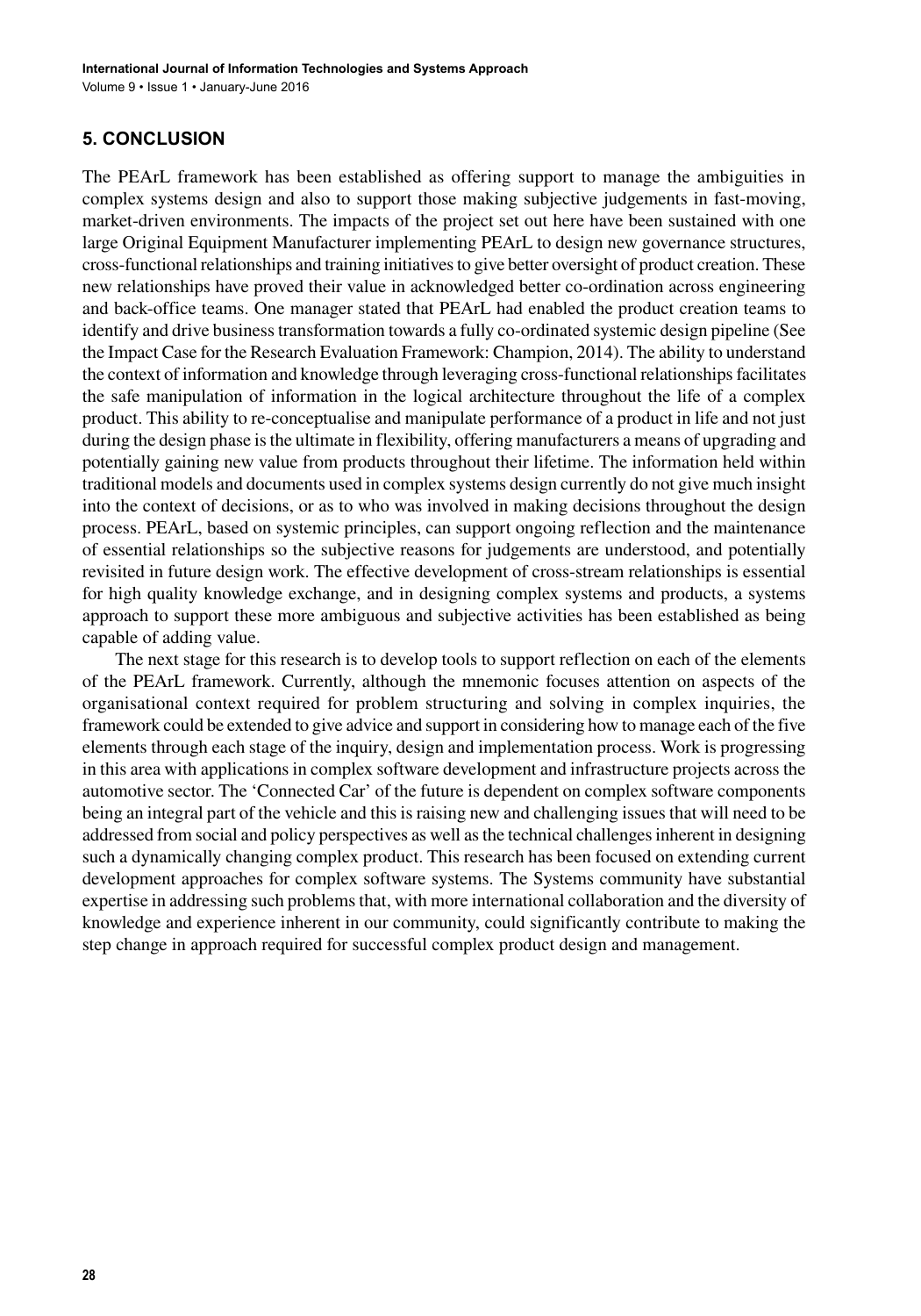# **5. CONCLUSION**

The PEArL framework has been established as offering support to manage the ambiguities in complex systems design and also to support those making subjective judgements in fast-moving, market-driven environments. The impacts of the project set out here have been sustained with one large Original Equipment Manufacturer implementing PEArL to design new governance structures, cross-functional relationships and training initiatives to give better oversight of product creation. These new relationships have proved their value in acknowledged better co-ordination across engineering and back-office teams. One manager stated that PEArL had enabled the product creation teams to identify and drive business transformation towards a fully co-ordinated systemic design pipeline (See the Impact Case for the Research Evaluation Framework: Champion, 2014). The ability to understand the context of information and knowledge through leveraging cross-functional relationships facilitates the safe manipulation of information in the logical architecture throughout the life of a complex product. This ability to re-conceptualise and manipulate performance of a product in life and not just during the design phase is the ultimate in flexibility, offering manufacturers a means of upgrading and potentially gaining new value from products throughout their lifetime. The information held within traditional models and documents used in complex systems design currently do not give much insight into the context of decisions, or as to who was involved in making decisions throughout the design process. PEArL, based on systemic principles, can support ongoing reflection and the maintenance of essential relationships so the subjective reasons for judgements are understood, and potentially revisited in future design work. The effective development of cross-stream relationships is essential for high quality knowledge exchange, and in designing complex systems and products, a systems approach to support these more ambiguous and subjective activities has been established as being capable of adding value.

The next stage for this research is to develop tools to support reflection on each of the elements of the PEArL framework. Currently, although the mnemonic focuses attention on aspects of the organisational context required for problem structuring and solving in complex inquiries, the framework could be extended to give advice and support in considering how to manage each of the five elements through each stage of the inquiry, design and implementation process. Work is progressing in this area with applications in complex software development and infrastructure projects across the automotive sector. The 'Connected Car' of the future is dependent on complex software components being an integral part of the vehicle and this is raising new and challenging issues that will need to be addressed from social and policy perspectives as well as the technical challenges inherent in designing such a dynamically changing complex product. This research has been focused on extending current development approaches for complex software systems. The Systems community have substantial expertise in addressing such problems that, with more international collaboration and the diversity of knowledge and experience inherent in our community, could significantly contribute to making the step change in approach required for successful complex product design and management.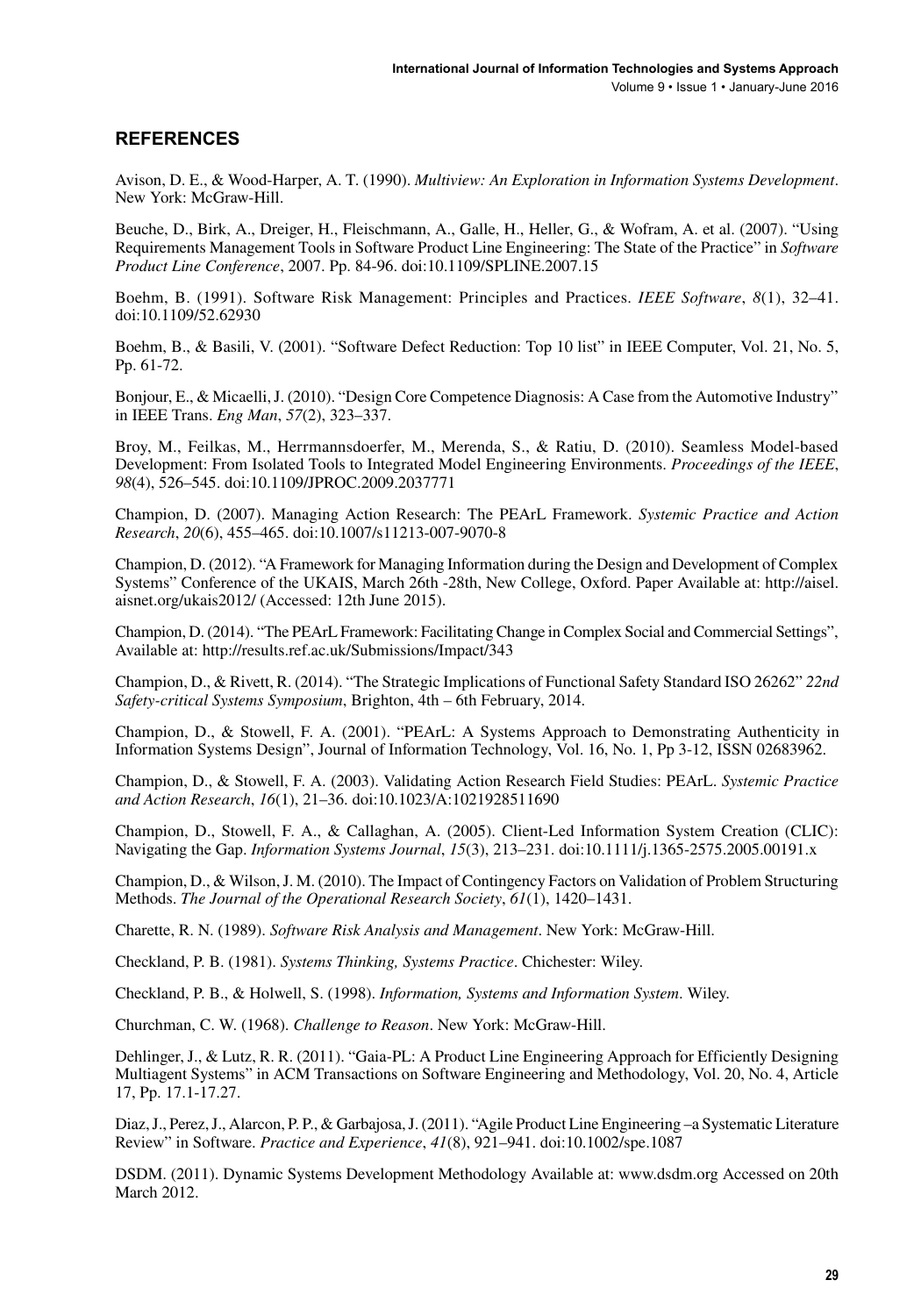#### **REFERENCES**

Avison, D. E., & Wood-Harper, A. T. (1990). *Multiview: An Exploration in Information Systems Development*. New York: McGraw-Hill.

Beuche, D., Birk, A., Dreiger, H., Fleischmann, A., Galle, H., Heller, G., & Wofram, A. et al. (2007). "Using Requirements Management Tools in Software Product Line Engineering: The State of the Practice" in *Software Product Line Conference*, 2007. Pp. 84-96. doi:[10.1109/SPLINE.2007.15](http://dx.doi.org/10.1109/SPLINE.2007.15)

Boehm, B. (1991). Software Risk Management: Principles and Practices. *IEEE Software*, *8*(1), 32–41. doi[:10.1109/52.62930](http://dx.doi.org/10.1109/52.62930)

Boehm, B., & Basili, V. (2001). "Software Defect Reduction: Top 10 list" in IEEE Computer, Vol. 21, No. 5, Pp. 61-72.

Bonjour, E., & Micaelli, J. (2010). "Design Core Competence Diagnosis: A Case from the Automotive Industry" in IEEE Trans. *Eng Man*, *57*(2), 323–337.

Broy, M., Feilkas, M., Herrmannsdoerfer, M., Merenda, S., & Ratiu, D. (2010). Seamless Model-based Development: From Isolated Tools to Integrated Model Engineering Environments. *Proceedings of the IEEE*, *98*(4), 526–545. doi:[10.1109/JPROC.2009.2037771](http://dx.doi.org/10.1109/JPROC.2009.2037771)

Champion, D. (2007). Managing Action Research: The PEArL Framework. *Systemic Practice and Action Research*, *20*(6), 455–465. doi[:10.1007/s11213-007-9070-8](http://dx.doi.org/10.1007/s11213-007-9070-8)

Champion, D. (2012). "A Framework for Managing Information during the Design and Development of Complex Systems" Conference of the UKAIS, March 26th -28th, New College, Oxford. Paper Available at: [http://aisel.](http://aisel.aisnet.org/ukais2012/) [aisnet.org/ukais2012/](http://aisel.aisnet.org/ukais2012/) (Accessed: 12th June 2015).

Champion, D. (2014). "The PEArL Framework: Facilitating Change in Complex Social and Commercial Settings", Available at: <http://results.ref.ac.uk/Submissions/Impact/343>

Champion, D., & Rivett, R. (2014). "The Strategic Implications of Functional Safety Standard ISO 26262" *22nd Safety-critical Systems Symposium*, Brighton, 4th – 6th February, 2014.

Champion, D., & Stowell, F. A. (2001). "PEArL: A Systems Approach to Demonstrating Authenticity in Information Systems Design", Journal of Information Technology, Vol. 16, No. 1, Pp 3-12, ISSN 02683962.

Champion, D., & Stowell, F. A. (2003). Validating Action Research Field Studies: PEArL. *Systemic Practice and Action Research*, *16*(1), 21–36. doi:[10.1023/A:1021928511690](http://dx.doi.org/10.1023/A:1021928511690)

Champion, D., Stowell, F. A., & Callaghan, A. (2005). Client-Led Information System Creation (CLIC): Navigating the Gap. *Information Systems Journal*, *15*(3), 213–231. doi:[10.1111/j.1365-2575.2005.00191.x](http://dx.doi.org/10.1111/j.1365-2575.2005.00191.x)

Champion, D., & Wilson, J. M. (2010). The Impact of Contingency Factors on Validation of Problem Structuring Methods. *The Journal of the Operational Research Society*, *61*(1), 1420–1431.

Charette, R. N. (1989). *Software Risk Analysis and Management*. New York: McGraw-Hill.

Checkland, P. B. (1981). *Systems Thinking, Systems Practice*. Chichester: Wiley.

Checkland, P. B., & Holwell, S. (1998). *Information, Systems and Information System*. Wiley.

Churchman, C. W. (1968). *Challenge to Reason*. New York: McGraw-Hill.

Dehlinger, J., & Lutz, R. R. (2011). "Gaia-PL: A Product Line Engineering Approach for Efficiently Designing Multiagent Systems" in ACM Transactions on Software Engineering and Methodology, Vol. 20, No. 4, Article 17, Pp. 17.1-17.27.

Diaz, J., Perez, J., Alarcon, P. P., & Garbajosa, J. (2011). "Agile Product Line Engineering –a Systematic Literature Review" in Software. *Practice and Experience*, *41*(8), 921–941. doi:[10.1002/spe.1087](http://dx.doi.org/10.1002/spe.1087)

DSDM. (2011). Dynamic Systems Development Methodology Available at: [www.dsdm.org](http://www.dsdm.org) Accessed on 20th March 2012.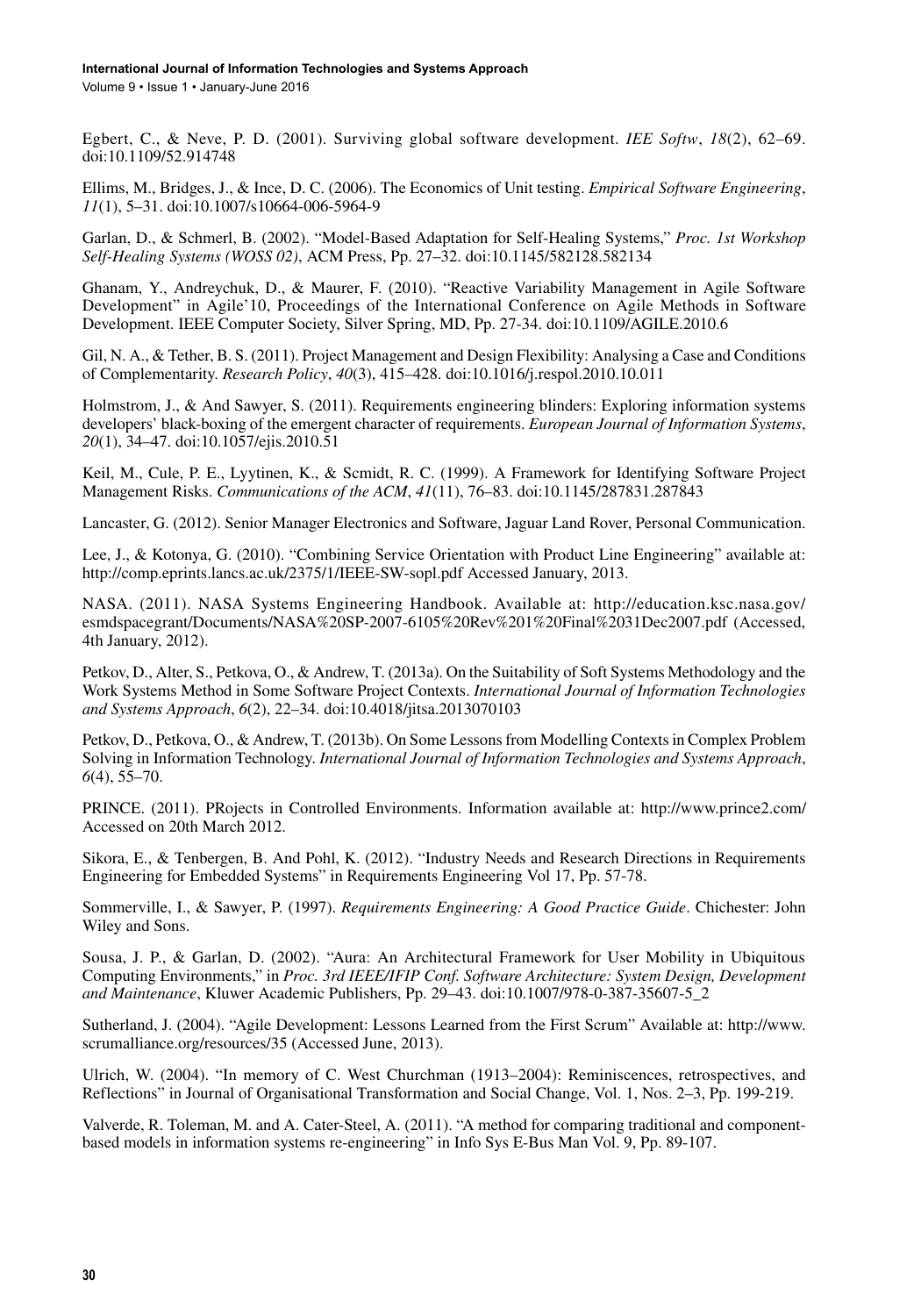Volume 9 • Issue 1 • January-June 2016

Egbert, C., & Neve, P. D. (2001). Surviving global software development. *IEE Softw*, *18*(2), 62–69. doi[:10.1109/52.914748](http://dx.doi.org/10.1109/52.914748)

Ellims, M., Bridges, J., & Ince, D. C. (2006). The Economics of Unit testing. *Empirical Software Engineering*, *11*(1), 5–31. doi[:10.1007/s10664-006-5964-9](http://dx.doi.org/10.1007/s10664-006-5964-9)

Garlan, D., & Schmerl, B. (2002). "Model-Based Adaptation for Self-Healing Systems," *Proc. 1st Workshop Self-Healing Systems (WOSS 02)*, ACM Press, Pp. 27–32. doi:[10.1145/582128.582134](http://dx.doi.org/10.1145/582128.582134)

Ghanam, Y., Andreychuk, D., & Maurer, F. (2010). "Reactive Variability Management in Agile Software Development" in Agile'10, Proceedings of the International Conference on Agile Methods in Software Development. IEEE Computer Society, Silver Spring, MD, Pp. 27-34. doi[:10.1109/AGILE.2010.6](http://dx.doi.org/10.1109/AGILE.2010.6)

Gil, N. A., & Tether, B. S. (2011). Project Management and Design Flexibility: Analysing a Case and Conditions of Complementarity. *Research Policy*, *40*(3), 415–428. doi[:10.1016/j.respol.2010.10.011](http://dx.doi.org/10.1016/j.respol.2010.10.011)

Holmstrom, J., & And Sawyer, S. (2011). Requirements engineering blinders: Exploring information systems developers' black-boxing of the emergent character of requirements. *European Journal of Information Systems*, *20*(1), 34–47. doi[:10.1057/ejis.2010.51](http://dx.doi.org/10.1057/ejis.2010.51)

Keil, M., Cule, P. E., Lyytinen, K., & Scmidt, R. C. (1999). A Framework for Identifying Software Project Management Risks. *Communications of the ACM*, *41*(11), 76–83. doi[:10.1145/287831.287843](http://dx.doi.org/10.1145/287831.287843)

Lancaster, G. (2012). Senior Manager Electronics and Software, Jaguar Land Rover, Personal Communication.

Lee, J., & Kotonya, G. (2010). "Combining Service Orientation with Product Line Engineering" available at: <http://comp.eprints.lancs.ac.uk/2375/1/IEEE-SW-sopl.pdf> Accessed January, 2013.

NASA. (2011). NASA Systems Engineering Handbook. Available at: [http://education.ksc.nasa.gov/](http://education.ksc.nasa.gov/esmdspacegrant/Documents/NASA%20SP-2007-6105%20Rev%201%20Final%2031Dec2007.pdf) [esmdspacegrant/Documents/NASA%20SP-2007-6105%20Rev%201%20Final%2031Dec2007.pdf](http://education.ksc.nasa.gov/esmdspacegrant/Documents/NASA%20SP-2007-6105%20Rev%201%20Final%2031Dec2007.pdf) (Accessed, 4th January, 2012).

Petkov, D., Alter, S., Petkova, O., & Andrew, T. (2013a). On the Suitability of Soft Systems Methodology and the Work Systems Method in Some Software Project Contexts. *International Journal of Information Technologies and Systems Approach*, *6*(2), 22–34. doi[:10.4018/jitsa.2013070103](http://dx.doi.org/10.4018/jitsa.2013070103)

Petkov, D., Petkova, O., & Andrew, T. (2013b). On Some Lessons from Modelling Contexts in Complex Problem Solving in Information Technology. *International Journal of Information Technologies and Systems Approach*, *6*(4), 55–70.

PRINCE. (2011). PRojects in Controlled Environments. Information available at: <http://www.prince2.com/> Accessed on 20th March 2012.

Sikora, E., & Tenbergen, B. And Pohl, K. (2012). "Industry Needs and Research Directions in Requirements Engineering for Embedded Systems" in Requirements Engineering Vol 17, Pp. 57-78.

Sommerville, I., & Sawyer, P. (1997). *Requirements Engineering: A Good Practice Guide*. Chichester: John Wiley and Sons.

Sousa, J. P., & Garlan, D. (2002). "Aura: An Architectural Framework for User Mobility in Ubiquitous Computing Environments," in *Proc. 3rd IEEE/IFIP Conf. Software Architecture: System Design, Development and Maintenance*, Kluwer Academic Publishers, Pp. 29–43. doi:[10.1007/978-0-387-35607-5\\_2](http://dx.doi.org/10.1007/978-0-387-35607-5_2)

Sutherland, J. (2004). "Agile Development: Lessons Learned from the First Scrum" Available at: [http://www.](http://www.scrumalliance.org/resources/35) [scrumalliance.org/resources/35](http://www.scrumalliance.org/resources/35) (Accessed June, 2013).

Ulrich, W. (2004). "In memory of C. West Churchman (1913–2004): Reminiscences, retrospectives, and Reflections" in Journal of Organisational Transformation and Social Change, Vol. 1, Nos. 2–3, Pp. 199-219.

Valverde, R. Toleman, M. and A. Cater-Steel, A. (2011). "A method for comparing traditional and componentbased models in information systems re-engineering" in Info Sys E-Bus Man Vol. 9, Pp. 89-107.